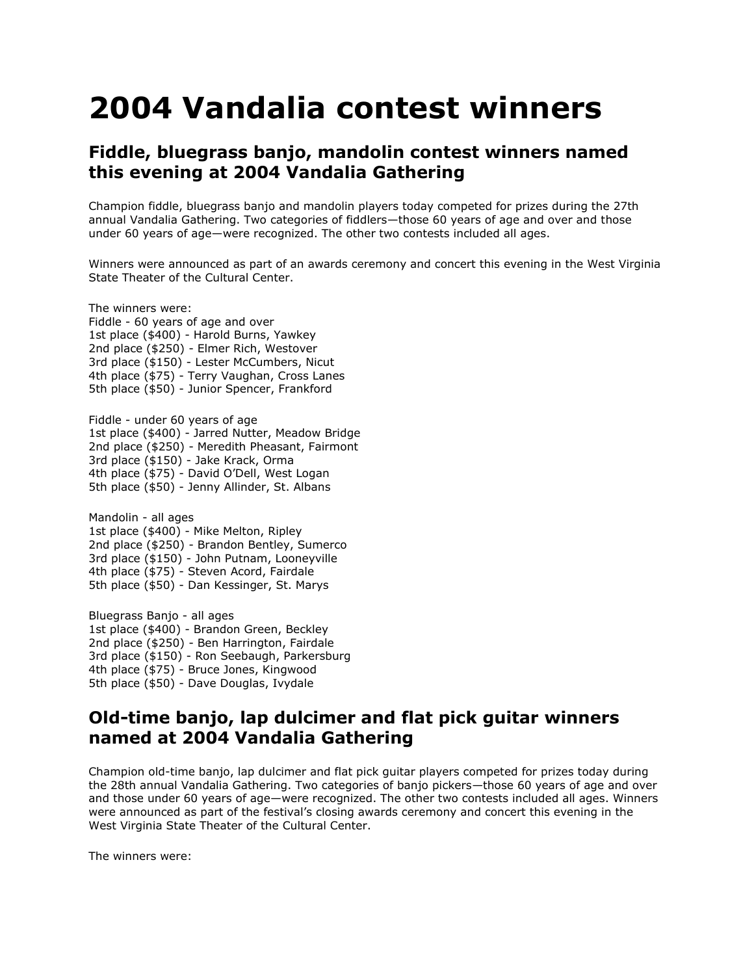## **2004 Vandalia contest winners**

## **Fiddle, bluegrass banjo, mandolin contest winners named this evening at 2004 Vandalia Gathering**

Champion fiddle, bluegrass banjo and mandolin players today competed for prizes during the 27th annual Vandalia Gathering. Two categories of fiddlers—those 60 years of age and over and those under 60 years of age—were recognized. The other two contests included all ages.

Winners were announced as part of an awards ceremony and concert this evening in the West Virginia State Theater of the Cultural Center.

The winners were: Fiddle - 60 years of age and over 1st place (\$400) - Harold Burns, Yawkey 2nd place (\$250) - Elmer Rich, Westover 3rd place (\$150) - Lester McCumbers, Nicut 4th place (\$75) - Terry Vaughan, Cross Lanes 5th place (\$50) - Junior Spencer, Frankford Fiddle - under 60 years of age 1st place (\$400) - Jarred Nutter, Meadow Bridge 2nd place (\$250) - Meredith Pheasant, Fairmont 3rd place (\$150) - Jake Krack, Orma 4th place (\$75) - David O'Dell, West Logan

5th place (\$50) - Jenny Allinder, St. Albans

Mandolin - all ages 1st place (\$400) - Mike Melton, Ripley 2nd place (\$250) - Brandon Bentley, Sumerco 3rd place (\$150) - John Putnam, Looneyville 4th place (\$75) - Steven Acord, Fairdale 5th place (\$50) - Dan Kessinger, St. Marys

Bluegrass Banjo - all ages 1st place (\$400) - Brandon Green, Beckley 2nd place (\$250) - Ben Harrington, Fairdale 3rd place (\$150) - Ron Seebaugh, Parkersburg 4th place (\$75) - Bruce Jones, Kingwood 5th place (\$50) - Dave Douglas, Ivydale

## **Old-time banjo, lap dulcimer and flat pick guitar winners named at 2004 Vandalia Gathering**

Champion old-time banjo, lap dulcimer and flat pick guitar players competed for prizes today during the 28th annual Vandalia Gathering. Two categories of banjo pickers—those 60 years of age and over and those under 60 years of age—were recognized. The other two contests included all ages. Winners were announced as part of the festival's closing awards ceremony and concert this evening in the West Virginia State Theater of the Cultural Center.

The winners were: